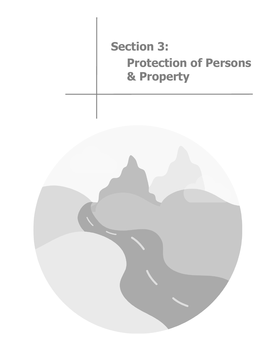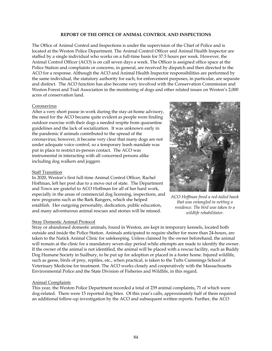### **REPORT OF THE OFFICE OF ANIMAL CONTROL AND INSPECTIONS**

The Office of Animal Control and Inspections is under the supervision of the Chief of Police and is located at the Weston Police Department. The Animal Control Officer and Animal Health Inspector are staffed by a single individual who works on a full-time basis for 37.5 hours per week. However, the Animal Control Officer (ACO) is on call seven days a week. The Officer is assigned office space at the Police Station and complaints or concerns, in general, are received by dispatch and then directed to the ACO for a response. Although the ACO and Animal Health Inspector responsibilities are performed by the same individual, the statutory authority for each, for enforcement purposes, in particular, are separate and distinct. The ACO function has also become very involved with the Conservation Commission and Weston Forest and Trail Association in the monitoring of dogs and other related issues on Weston's 2,000 acres of conservation land.

### Coronavirus

After a very short pause in work during the stay-at-home advisory, the need for the ACO became quite evident as people were finding outdoor exercise with their dogs a needed respite from quarantine guidelines and the lack of socialization. It was unknown early in the pandemic if animals contributed to the spread of the coronavirus; however, it became very clear that many dogs are not under adequate voice control, so a temporary leash mandate was put in place to restrict in-person contact. The ACO was instrumental in interacting with all concerned persons alike including dog walkers and joggers

### Staff Transition

In 2020, Weston's first full-time Animal Control Officer, Rachel Hoffman, left her post due to a move out of state. The Department and Town are grateful to ACO Hoffman for all of her hard work, especially in the areas of commercial dog licensing, inspections, and new programs such as the Bark Rangers, which she helped establish. Her outgoing personality, dedication, public education, and many adventurous animal rescues and stories will be missed.

# Stray Domestic Animal Protocol



*ACO Hoffman freed a red-tailed hawk that was entangled in netting a residence. The bird was taken to a wildlife rehabilitator.*

Stray or abandoned domestic animals, found in Weston, are kept in temporary kennels, located both outside and inside the Police Station. Animals anticipated to require shelter for more than 24-hours, are taken to the Natick Animal Clinic for safekeeping. Unless claimed by the owner beforehand, the animal will remain at the clinic for a mandatory seven-day period while attempts are made to identify the owner. If the owner of the animal is not identified, the animal will be placed with a rescue facility, such as Buddy Dog Humane Society in Sudbury, to be put up for adoption or placed in a foster home. Injured wildlife, such as geese, birds of prey, reptiles, etc., when practical, is taken to the Tufts Cummings School of Veterinary Medicine for treatment. The ACO works closely and cooperatively with the Massachusetts Environmental Police and the State Division of Fisheries and Wildlife, in this regard.

# Animal Complaints

This year, the Weston Police Department recorded a total of 239 animal complaints, 71 of which were dog-related. There were 15 reported dog bites. Of this year's calls, approximately half of them required an additional follow-up investigation by the ACO and subsequent written reports. Further, the ACO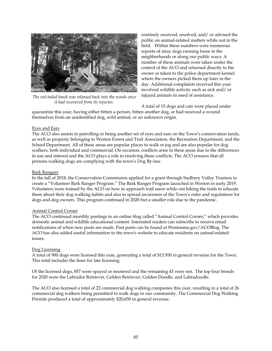

*The red-tailed hawk was released back into the woods once it had recovered from its injuries.*

routinely received, resolved, and/ or advised the public on animal-related matters while out in the field. Within these numbers were numerous reports of stray dogs running loose in the neighborhoods or along our public ways. A number of these animals were taken under the control of the ACO and returned directly to the owner or taken to the police department kennel where the owners picked them up later in the day. Additional complaints received this year involved wildlife activity such as sick and/ or injured animals in need of assistance.

A total of 15 dogs and cats were placed under

quarantine this year, having either bitten a person, bitten another dog, or had received a wound themselves from an unidentified dog, wild animal, or an unknown origin.

### Eyes and Ears

The ACO also assists in patrolling or being another set of eyes and ears on the Town's conservation lands, as well as property belonging to Weston Forest and Trail Association, the Recreation Department, and the School Department. All of these areas are popular places to walk or jog and are also popular for dog walkers, both individual and commercial. On occasion, conflicts arise in these areas due to the differences in use and interest and the ACO plays a role in resolving these conflicts. The ACO ensures that all persons walking dogs are complying with the town's Dog By-law.

### Bark Rangers

In the fall of 2018, the Conservation Commission applied for a grant through Sudbury Valley Trustees to create a "Volunteer Bark Ranger Program." The Bark Ranger Program launched in Weston in early 2019. Volunteers were trained by the ACO on how to approach trail users while out hiking the trails to educate them about their dog walking habits and also to spread awareness of the Town's rules and regulations for dogs and dog owners. This program continued in 2020 but a smaller role due to the pandemic.

# Animal Control Corner

The ACO continued monthly postings to an online blog called "Animal Control Corner," which provides domestic animal and wildlife educational content. Interested readers can subscribe to receive email notifications of when new posts are made. Past posts can be found at Westonma.gov/ACOBlog. The ACO has also added useful information to the town's website to educate residents on animal-related issues.

# Dog Licensing

A total of 900 dogs were licensed this year, generating a total of \$13,930 in general revenue for the Town. This total includes the fines for late licensing.

Of the licensed dogs, 857 were spayed or neutered and the remaining 43 were not. The top four breeds for 2020 were the Labrador Retriever, Golden Retriever, Golden Doodle, and Labradoodle.

The ACO also licensed a total of 22 commercial dog walking companies this year, resulting in a total of 26 commercial dog walkers being permitted to walk dogs in our community. The Commercial Dog Walking Permits produced a total of approximately \$20,650 in general revenue.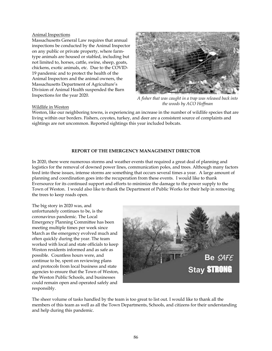### Animal Inspections

Massachusetts General Law requires that annual inspections be conducted by the Animal Inspector on any public or private property, where farmtype animals are housed or stabled, including but not limited to, horses, cattle, swine, sheep, goats, chickens, exotic animals, etc. Due to the COVID-19 pandemic and to protect the health of the Animal Inspectors and the animal owners, the Massachusetts Department of Agriculture's Division of Animal Health suspended the Barn Inspections for the year 2020.



*A fisher that was caught in a trap was released back into the woods by ACO Hoffman*

### Wildlife in Weston

Weston, like our neighboring towns, is experiencing an increase in the number of wildlife species that are living within our borders. Fishers, coyotes, turkey, and deer are a consistent source of complaints and sightings are not uncommon. Reported sightings this year included bobcats.

# **REPORT OF THE EMERGENCY MANAGEMENT DIRECTOR**

In 2020, there were numerous storms and weather events that required a great deal of planning and logistics for the removal of downed power lines, communication poles, and trees. Although many factors feed into these issues, intense storms are something that occurs several times a year. A large amount of planning and coordination goes into the recuperation from these events. I would like to thank Eversource for its continued support and efforts to minimize the damage to the power supply to the Town of Weston. I would also like to thank the Department of Public Works for their help in removing the trees to keep roads open.

The big story in 2020 was, and unfortunately continues to be, is the coronavirus pandemic. The Local Emergency Planning Committee has been meeting multiple times per week since March as the emergency evolved much and often quickly during the year. The team worked with local and state officials to keep Weston residents informed and as safe as possible. Countless hours were, and continue to be, spent on reviewing plans and protocols from local business and state agencies to ensure that the Town of Weston, the Weston Public Schools, and businesses could remain open and operated safely and responsibly.



The sheer volume of tasks handled by the team is too great to list out. I would like to thank all the members of this team as well as all the Town Departments, Schools, and citizens for their understanding and help during this pandemic.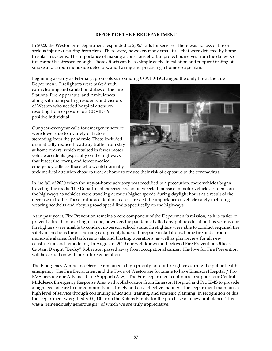### **REPORT OF THE FIRE DEPARTMENT**

In 2020, the Weston Fire Department responded to 2,067 calls for service. There was no loss of life or serious injuries resulting from fires. There were, however, many small fires that were detected by home fire alarm systems. The importance of making a conscious effort to protect ourselves from the dangers of fire cannot be stressed enough. These efforts can be as simple as the installation and frequent testing of smoke and carbon monoxide detectors, and having and practicing a home escape plan.

Beginning as early as February, protocols surrounding COVID-19 changed the daily life at the Fire

Department. Firefighters were tasked with extra cleaning and sanitation duties of the Fire Stations, Fire Apparatus, and Ambulances along with transporting residents and visitors of Weston who needed hospital attention resulting from exposure to a COVID-19 positive individual.

Our year-over-year calls for emergency service were lower due to a variety of factors stemming from the pandemic. These included dramatically reduced roadway traffic from stay at home orders, which resulted in fewer motor vehicle accidents (especially on the highways that bisect the town), and fewer medical emergency calls, as those who would normally



seek medical attention chose to treat at home to reduce their risk of exposure to the coronavirus.

In the fall of 2020 when the stay-at-home advisory was modified to a precaution, more vehicles began traveling the roads. The Department experienced an unexpected increase in motor vehicle accidents on the highways as vehicles were traveling at much higher speeds during daylight hours as a result of the decrease in traffic. These traffic accident increases stressed the importance of vehicle safety including wearing seatbelts and obeying road speed limits specifically on the highways.

As in past years, Fire Prevention remains a core component of the Department's mission, as it is easier to prevent a fire than to extinguish one; however, the pandemic halted any public education this year as our Firefighters were unable to conduct in-person school visits. Firefighters were able to conduct required fire safety inspections for oil-burning equipment, liquefied propane installations, home fire and carbon monoxide alarms, fuel tank removals, and blasting operations, as well as plan review for all new construction and remodeling. In August of 2020 our well-known and beloved Fire Prevention Officer, Captain Dwight "Bucky" Robertson passed away from occupational cancer. His love for Fire Prevention will be carried on with our future generation.

The Emergency Ambulance Service remained a high priority for our firefighters during the public health emergency. The Fire Department and the Town of Weston are fortunate to have Emerson Hospital / Pro EMS provide our Advanced Life Support (ALS). The Fire Department continues to support our Central Middlesex Emergency Response Area with collaboration from Emerson Hospital and Pro EMS to provide a high level of care to our community in a timely and cost-effective manner. The Department maintains a high level of service through continuing education, training, and strategic planning. In recognition of this, the Department was gifted \$100,000 from the Robins Family for the purchase of a new ambulance. This was a tremendously generous gift, of which we are truly appreciative.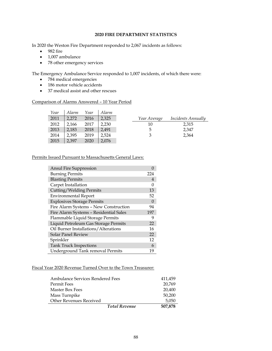# **2020 FIRE DEPARTMENT STATISTICS**

In 2020 the Weston Fire Department responded to 2,067 incidents as follows:

- 982 fire
- 1,007 ambulance
- 78 other emergency services

The Emergency Ambulance Service responded to 1,007 incidents, of which there were:

- 784 medical emergencies
- 186 motor vehicle accidents
- 37 medical assist and other rescues

#### Comparison of Alarms Answered – 10 Year Period

| Year | Alarm | Year | Alarm |              |                           |
|------|-------|------|-------|--------------|---------------------------|
| 2011 | 2.272 | 2016 | 2,325 | Year Average | <i>Incidents Annually</i> |
| 2012 | 2.166 | 2017 | 2.230 | 10           | 2,315                     |
| 2013 | 2.183 | 2018 | 2.491 | 5            | 2.347                     |
| 2014 | 2.395 | 2019 | 2.524 | 3            | 2,364                     |
| 2015 | 2,397 | 2020 | 2,076 |              |                           |

### Permits Issued Pursuant to Massachusetts General Laws:

| <b>Ansul Fire Suppression</b>          |          |
|----------------------------------------|----------|
| <b>Burning Permits</b>                 | 224      |
| <b>Blasting Permits</b>                | 4        |
| Carpet Installation                    | 0        |
| Cutting/Welding Permits                | 13       |
| <b>Environmental Report</b>            | 52       |
| <b>Explosives Storage Permits</b>      | $\Omega$ |
| Fire Alarm Systems - New Construction  | 94       |
| Fire Alarm Systems - Residential Sales | 197      |
| Flammable Liquid Storage Permits       | 9        |
| Liquid Petroleum Gas Storage Permits   | 22       |
| Oil Burner Installations/Alterations   | 16       |
| Solar Panel Review                     | 22       |
| Sprinkler                              | 12       |
| <b>Tank Truck Inspections</b>          | 6        |
| Underground Tank removal Permits       |          |

#### Fiscal Year 2020 Revenue Turned Over to the Town Treasurer:

| Ambulance Services Rendered Fees |                      | 411,459 |
|----------------------------------|----------------------|---------|
| Permit Fees                      |                      | 20,769  |
| Master Box Fees                  |                      | 20,400  |
| Mass Turnpike                    |                      | 50,200  |
| Other Revenues Received          |                      | 5,050   |
|                                  | <b>Total Revenue</b> | 507,878 |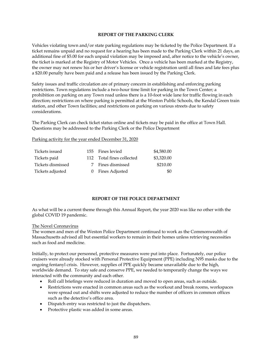### **REPORT OF THE PARKING CLERK**

Vehicles violating town and/or state parking regulations may be ticketed by the Police Department. If a ticket remains unpaid and no request for a hearing has been made to the Parking Clerk within 21 days, an additional fine of \$5.00 for each unpaid violation may be imposed and, after notice to the vehicle's owner, the ticket is marked at the Registry of Motor Vehicles. Once a vehicle has been marked at the Registry, the owner may not renew his or her driver's license or vehicle registration until all fines and late fees plus a \$20.00 penalty have been paid and a release has been issued by the Parking Clerk.

Safety issues and traffic circulation are of primary concern in establishing and enforcing parking restrictions. Town regulations include a two-hour time limit for parking in the Town Center; a prohibition on parking on any Town road unless there is a 10-foot wide lane for traffic flowing in each direction; restrictions on where parking is permitted at the Weston Public Schools, the Kendal Green train station, and other Town facilities; and restrictions on parking on various streets due to safety considerations.

The Parking Clerk can check ticket status online and tickets may be paid in the office at Town Hall. Questions may be addressed to the Parking Clerk or the Police Department

### Parking activity for the year ended December 31, 2020

| Tickets issued    | 155 Fines levied          | \$4,580.00 |
|-------------------|---------------------------|------------|
| Tickets paid      | 112 Total fines collected | \$3,320.00 |
| Tickets dismissed | 7 Fines dismissed         | \$210.00   |
| Tickets adjusted  | 0 Fines Adjusted          | -90        |

# **REPORT OF THE POLICE DEPARTMENT**

As what will be a current theme through this Annual Report, the year 2020 was like no other with the global COVID 19 pandemic.

### The Novel Coronavirus

The women and men of the Weston Police Department continued to work as the Commonwealth of Massachusetts advised all but essential workers to remain in their homes unless retrieving necessities such as food and medicine.

Initially, to protect our personnel, protective measures were put into place. Fortunately, our police cruisers were already stocked with Personal Protective Equipment (PPE) including N95 masks due to the ongoing fentanyl crisis. However, supplies of PPE quickly became unavailable due to the high, worldwide demand. To stay safe and conserve PPE, we needed to temporarily change the ways we interacted with the community and each other.

- Roll call briefings were reduced in duration and moved to open areas, such as outside.
- Restrictions were enacted in common areas such as the workout and break rooms, workspaces were spread out and shifts were adjusted to reduce the number of officers in common offices such as the detective's office area.
- Dispatch entry was restricted to just the dispatchers.
- Protective plastic was added in some areas.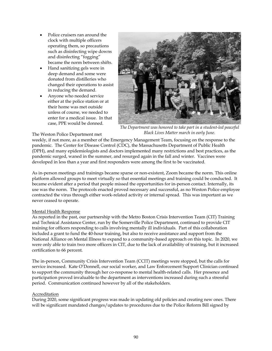- Police cruisers ran around the clock with multiple officers operating them, so precautions such as disinfecting wipe downs and disinfecting "fogging" became the norm between shifts.
- Hand sanitizing gels were in deep demand and some were donated from distilleries who changed their operations to assist in reducing the demand.
- Anyone who needed service either at the police station or at their home was met outside unless of course, we needed to enter for a medical issue. In that case, PPE would be donned.



*The Department was honored to take part in a student-led peaceful Black Lives Matter march in early June.*

# The Weston Police Department met

weekly, if not more, as a member of the Emergency Management Team, focusing on the response to the pandemic. The Center for Disease Control (CDC), the Massachusetts Department of Public Health (DPH), and many epidemiologists and doctors implemented many restrictions and best practices, as the pandemic surged, waned in the summer, and resurged again in the fall and winter. Vaccines were developed in less than a year and first responders were among the first to be vaccinated.

As in-person meetings and trainings became sparse or non-existent, Zoom became the norm. This online platform allowed groups to meet virtually so that essential meetings and training could be conducted. It became evident after a period that people missed the opportunities for in-person contact. Internally, its use was the norm. The protocols enacted proved necessary and successful, as no Weston Police employee contracted the virus through either work-related activity or internal spread. This was important as we never ceased to operate.

# Mental Health Response

As reported in the past, our partnership with the Metro Boston Crisis Intervention Team (CIT) Training and Technical Assistance Center, run by the Somerville Police Department, continued to provide CIT training for officers responding to calls involving mentally ill individuals. Part of this collaboration included a grant to fund the 40-hour training, but also to receive assistance and support from the National Alliance on Mental Illness to expand to a community-based approach on this topic. In 2020, we were only able to train two more officers in CIT, due to the lack of availability of training, but it increased certification to 66 percent.

The in-person, Community Crisis Intervention Team (CCIT) meetings were stopped, but the calls for service increased. Kate O'Donnell, our social worker, and Law Enforcement Support Clinician continued to support the community through her co-response to mental health-related calls. Her presence and participation proved invaluable to the department as interventions increased during such a stressful period. Communication continued however by all of the stakeholders.

# Accreditation

During 2020, some significant progress was made in updating old policies and creating new ones. There will be significant mandated changes/updates to procedures due to the Police Reform Bill signed by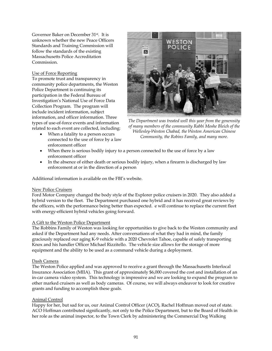Governor Baker on December 31st. It is unknown whether the new Peace Officers Standards and Training Commission will follow the standards of the existing Massachusetts Police Accreditation Commission.

# Use of Force Reporting

To promote trust and transparency in community police departments, the Weston Police Department is continuing its participation in the Federal Bureau of Investigation's National Use of Force Data Collection Program. The program will include incident information, subject information, and officer information. Three types of use-of-force events and information related to each event are collected, including:

• When a fatality to a person occurs connected to the use of force by a law enforcement officer



*The Department was treated well this year from the generosity of many members of the community Rabbi Moshe Bleich of the Wellesley-Weston Chabad, the Weston American Chinese Community, the Robins Family, and many more.*

- When there is serious bodily injury to a person connected to the use of force by a law enforcement officer
- In the absence of either death or serious bodily injury, when a firearm is discharged by law enforcement at or in the direction of a person

Additional information is available on the FBI's website.

### New Police Cruisers

Ford Motor Company changed the body style of the Explorer police cruisers in 2020. They also added a hybrid version to the fleet. The Department purchased one hybrid and it has received great reviews by the officers, with the performance being better than expected. e will continue to replace the current fleet with energy-efficient hybrid vehicles going forward.

### A Gift to the Weston Police Department

The Robbins Family of Weston was looking for opportunities to give back to the Weston community and asked if the Department had any needs. After conversations of what they had in mind, the family graciously replaced our aging K-9 vehicle with a 2020 Chevrolet Tahoe, capable of safely transporting Knox and his handler Officer Michael Rizzitello. The vehicle size allows for the storage of more equipment and the ability to be used as a command vehicle during a deployment.

### Dash Camera

The Weston Police applied and was approved to receive a grant through the Massachusetts Interlocal Insurance Association (MIIA). This grant of approximately \$6,000 covered the cost and installation of an in-car camera video system. This technology is impressive and we are looking to expand the program to other marked cruisers as well as body cameras. Of course, we will always endeavor to look for creative grants and funding to accomplish these goals.

# Animal Control

Happy for her, but sad for us, our Animal Control Officer (ACO), Rachel Hoffman moved out of state. ACO Hoffman contributed significantly, not only to the Police Department, but to the Board of Health in her role as the animal inspector, to the Town Clerk by administering the Commercial Dog Walking